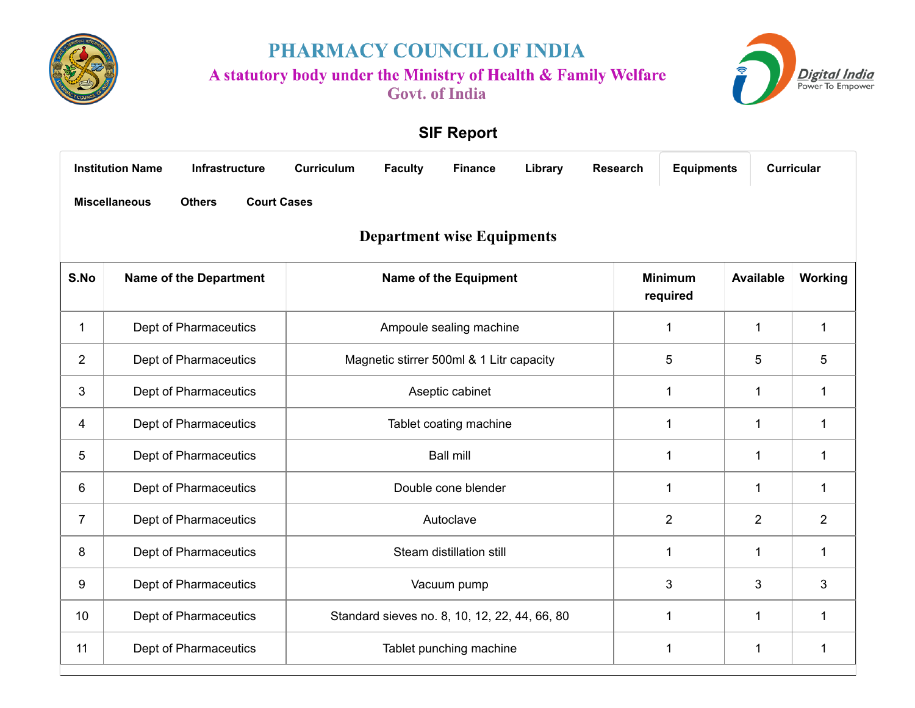

PHARMACY COUNCIL OF INDIA

A statutory body under the Ministry of Health & Family Welfare

**Govt.** of India



## **SIF Report**

<span id="page-0-0"></span>

|                | <b>Institution Name</b><br><b>Infrastructure</b>            | <b>Curriculum</b> | <b>Faculty</b> | <b>Finance</b>                                | Library | <b>Research</b> | <b>Equipments</b>          |                  | <b>Curricular</b> |
|----------------|-------------------------------------------------------------|-------------------|----------------|-----------------------------------------------|---------|-----------------|----------------------------|------------------|-------------------|
|                | <b>Miscellaneous</b><br><b>Others</b><br><b>Court Cases</b> |                   |                |                                               |         |                 |                            |                  |                   |
|                |                                                             |                   |                | <b>Department wise Equipments</b>             |         |                 |                            |                  |                   |
| S.No           | <b>Name of the Department</b>                               |                   |                | <b>Name of the Equipment</b>                  |         |                 | <b>Minimum</b><br>required | <b>Available</b> | Working           |
| $\mathbf 1$    | Dept of Pharmaceutics                                       |                   |                | Ampoule sealing machine                       |         |                 | $\mathbf 1$                | $\mathbf{1}$     | $\mathbf 1$       |
| $\overline{2}$ | Dept of Pharmaceutics                                       |                   |                | Magnetic stirrer 500ml & 1 Litr capacity      |         |                 | 5                          | 5                | 5                 |
| 3              | Dept of Pharmaceutics                                       |                   |                | Aseptic cabinet                               |         |                 | $\mathbf{1}$               | $\mathbf 1$      | $\mathbf{1}$      |
| 4              | Dept of Pharmaceutics                                       |                   |                | Tablet coating machine                        |         |                 | 1                          | 1                | 1                 |
| 5              | Dept of Pharmaceutics                                       |                   |                | <b>Ball mill</b>                              |         |                 | $\mathbf{1}$               | $\mathbf 1$      | 1                 |
| 6              | Dept of Pharmaceutics                                       |                   |                | Double cone blender                           |         |                 | $\mathbf{1}$               | $\mathbf 1$      | $\mathbf 1$       |
| 7              | Dept of Pharmaceutics                                       |                   |                | Autoclave                                     |         |                 | $\overline{2}$             | $\overline{2}$   | $\overline{2}$    |
| 8              | Dept of Pharmaceutics                                       |                   |                | Steam distillation still                      |         |                 | $\mathbf{1}$               | 1                | 1                 |
| 9              | Dept of Pharmaceutics                                       |                   |                | Vacuum pump                                   |         |                 | 3                          | 3                | 3                 |
| 10             | Dept of Pharmaceutics                                       |                   |                | Standard sieves no. 8, 10, 12, 22, 44, 66, 80 |         |                 | 1                          | 1                | 1                 |
| 11             | Dept of Pharmaceutics                                       |                   |                | Tablet punching machine                       |         |                 | 1                          | 1                | 1                 |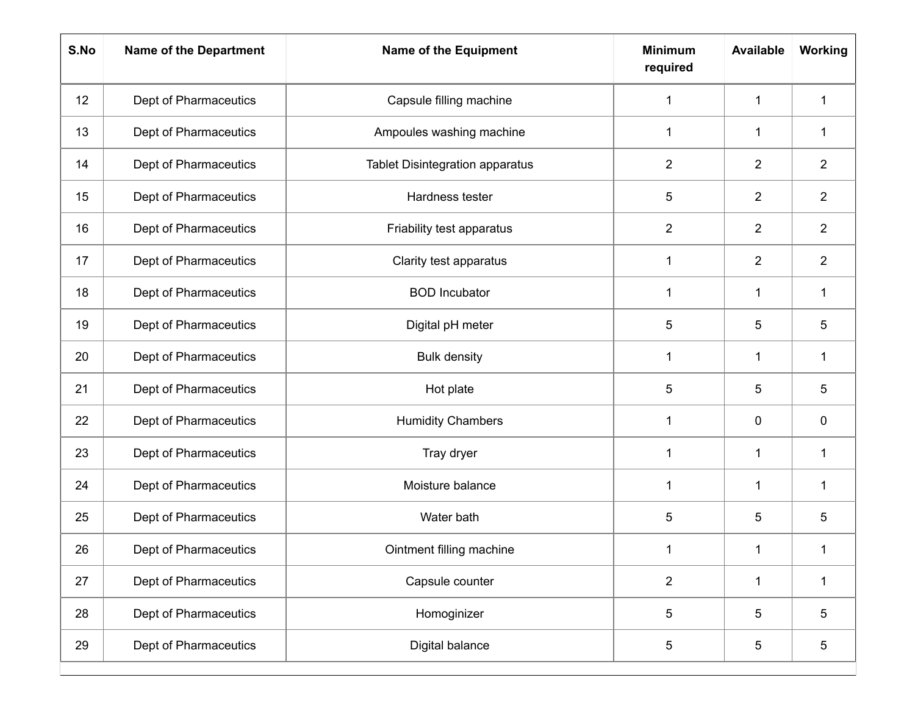| S.No | <b>Name of the Department</b> | <b>Name of the Equipment</b>           | <b>Minimum</b><br>required | <b>Available</b> | Working        |
|------|-------------------------------|----------------------------------------|----------------------------|------------------|----------------|
| 12   | Dept of Pharmaceutics         | Capsule filling machine                | 1                          | 1                | 1              |
| 13   | Dept of Pharmaceutics         | Ampoules washing machine               | $\mathbf{1}$               | 1                | 1              |
| 14   | Dept of Pharmaceutics         | <b>Tablet Disintegration apparatus</b> | $\overline{2}$             | $\overline{2}$   | $\overline{2}$ |
| 15   | Dept of Pharmaceutics         | Hardness tester                        | 5                          | $\overline{2}$   | $\overline{2}$ |
| 16   | Dept of Pharmaceutics         | Friability test apparatus              | $\overline{2}$             | $\overline{2}$   | $\overline{2}$ |
| 17   | Dept of Pharmaceutics         | Clarity test apparatus                 | 1                          | $\overline{2}$   | $\overline{2}$ |
| 18   | Dept of Pharmaceutics         | <b>BOD</b> Incubator                   | $\mathbf 1$                | 1                | 1              |
| 19   | Dept of Pharmaceutics         | Digital pH meter                       | 5                          | 5                | 5              |
| 20   | Dept of Pharmaceutics         | <b>Bulk density</b>                    | 1                          | 1                | 1              |
| 21   | Dept of Pharmaceutics         | Hot plate                              | 5                          | 5                | 5              |
| 22   | Dept of Pharmaceutics         | <b>Humidity Chambers</b>               | $\mathbf{1}$               | $\mathbf 0$      | 0              |
| 23   | Dept of Pharmaceutics         | Tray dryer                             | 1                          | $\mathbf 1$      | 1              |
| 24   | Dept of Pharmaceutics         | Moisture balance                       | 1                          | 1                | 1              |
| 25   | Dept of Pharmaceutics         | Water bath                             | 5                          | 5                | 5              |
| 26   | Dept of Pharmaceutics         | Ointment filling machine               | $\mathbf 1$                | $\mathbf{1}$     | $\mathbf 1$    |
| 27   | Dept of Pharmaceutics         | Capsule counter                        | $\overline{2}$             | $\mathbf{1}$     | $\mathbf{1}$   |
| 28   | Dept of Pharmaceutics         | Homoginizer                            | 5                          | 5                | 5              |
| 29   | Dept of Pharmaceutics         | Digital balance                        | $5\phantom{.0}$            | 5                | 5              |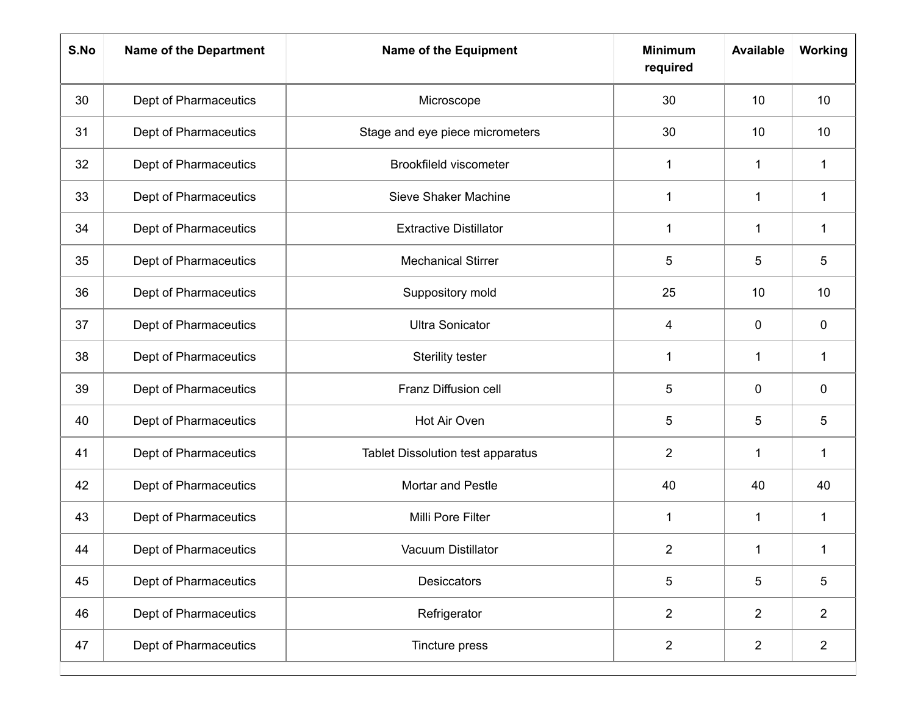| S.No | <b>Name of the Department</b> | <b>Name of the Equipment</b>             | <b>Minimum</b><br>required | <b>Available</b> | <b>Working</b> |
|------|-------------------------------|------------------------------------------|----------------------------|------------------|----------------|
| 30   | Dept of Pharmaceutics         | Microscope                               | 30                         | 10               | 10             |
| 31   | Dept of Pharmaceutics         | Stage and eye piece micrometers          | 30                         | 10               | 10             |
| 32   | Dept of Pharmaceutics         | Brookfileld viscometer                   | 1                          | $\mathbf 1$      | $\mathbf{1}$   |
| 33   | Dept of Pharmaceutics         | Sieve Shaker Machine                     | 1                          | 1                | $\mathbf 1$    |
| 34   | Dept of Pharmaceutics         | <b>Extractive Distillator</b>            | $\mathbf{1}$               | $\mathbf 1$      | $\mathbf{1}$   |
| 35   | Dept of Pharmaceutics         | <b>Mechanical Stirrer</b>                | 5                          | 5                | 5              |
| 36   | Dept of Pharmaceutics         | Suppository mold                         | 25                         | 10               | 10             |
| 37   | Dept of Pharmaceutics         | <b>Ultra Sonicator</b>                   | 4                          | $\pmb{0}$        | $\pmb{0}$      |
| 38   | Dept of Pharmaceutics         | Sterility tester                         | 1                          | $\mathbf 1$      | $\mathbf 1$    |
| 39   | Dept of Pharmaceutics         | Franz Diffusion cell                     | 5                          | $\mathbf 0$      | 0              |
| 40   | Dept of Pharmaceutics         | Hot Air Oven                             | 5                          | 5                | 5              |
| 41   | Dept of Pharmaceutics         | <b>Tablet Dissolution test apparatus</b> | $\overline{2}$             | $\mathbf 1$      | 1              |
| 42   | Dept of Pharmaceutics         | Mortar and Pestle                        | 40                         | 40               | 40             |
| 43   | Dept of Pharmaceutics         | Milli Pore Filter                        | $\mathbf 1$                | 1                | $\mathbf 1$    |
| 44   | Dept of Pharmaceutics         | Vacuum Distillator                       | $\overline{2}$             | 1                |                |
| 45   | Dept of Pharmaceutics         | Desiccators                              | 5                          | 5                | 5              |
| 46   | Dept of Pharmaceutics         | Refrigerator                             | $\overline{2}$             | $\overline{2}$   | $\overline{2}$ |
| 47   | Dept of Pharmaceutics         | Tincture press                           | $\overline{2}$             | $\overline{2}$   | $\overline{2}$ |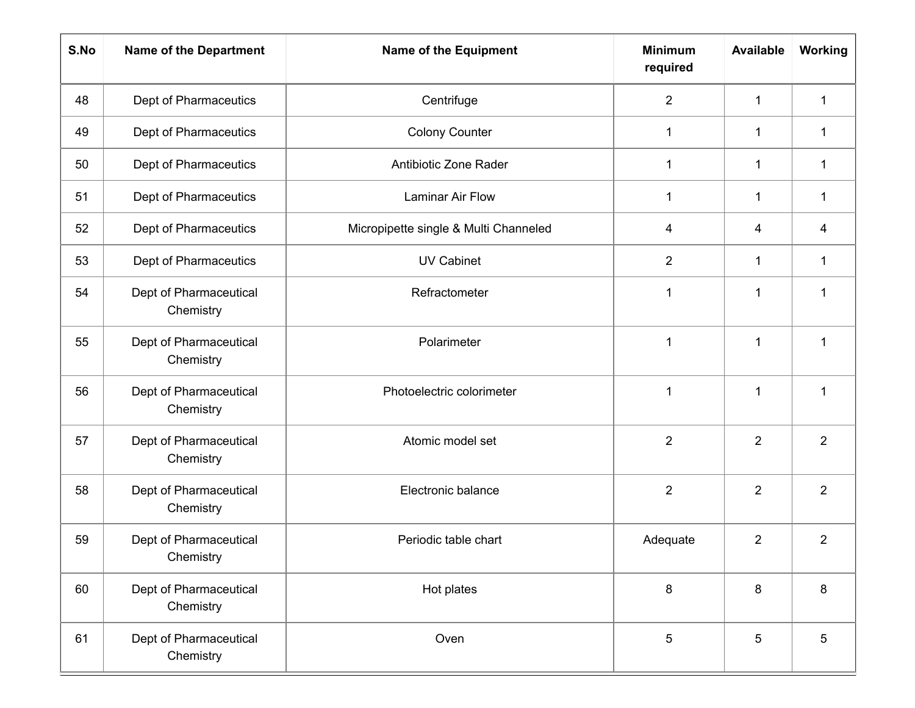| S.No | <b>Name of the Department</b>       | <b>Name of the Equipment</b>          | <b>Minimum</b><br>required | <b>Available</b> | Working        |
|------|-------------------------------------|---------------------------------------|----------------------------|------------------|----------------|
| 48   | Dept of Pharmaceutics               | Centrifuge                            | $\overline{2}$             | $\mathbf 1$      | $\mathbf 1$    |
| 49   | Dept of Pharmaceutics               | <b>Colony Counter</b>                 | 1                          | 1                | 1              |
| 50   | Dept of Pharmaceutics               | Antibiotic Zone Rader                 | $\mathbf 1$                | 1                | $\mathbf{1}$   |
| 51   | Dept of Pharmaceutics               | Laminar Air Flow                      | 1                          | 1                | $\mathbf 1$    |
| 52   | Dept of Pharmaceutics               | Micropipette single & Multi Channeled | 4                          | 4                | 4              |
| 53   | Dept of Pharmaceutics               | <b>UV Cabinet</b>                     | $\overline{2}$             | 1                | $\mathbf{1}$   |
| 54   | Dept of Pharmaceutical<br>Chemistry | Refractometer                         | 1                          | 1                | 1              |
| 55   | Dept of Pharmaceutical<br>Chemistry | Polarimeter                           | 1                          | 1                | 1              |
| 56   | Dept of Pharmaceutical<br>Chemistry | Photoelectric colorimeter             | 1                          | 1                | $\mathbf 1$    |
| 57   | Dept of Pharmaceutical<br>Chemistry | Atomic model set                      | $\overline{2}$             | $\overline{2}$   | $\overline{2}$ |
| 58   | Dept of Pharmaceutical<br>Chemistry | Electronic balance                    | $\overline{2}$             | $\overline{2}$   | $\overline{2}$ |
| 59   | Dept of Pharmaceutical<br>Chemistry | Periodic table chart                  | Adequate                   | $\overline{2}$   | $\overline{2}$ |
| 60   | Dept of Pharmaceutical<br>Chemistry | Hot plates                            | $\bf 8$                    | $\,8\,$          | 8              |
| 61   | Dept of Pharmaceutical<br>Chemistry | Oven                                  | 5                          | 5                | 5              |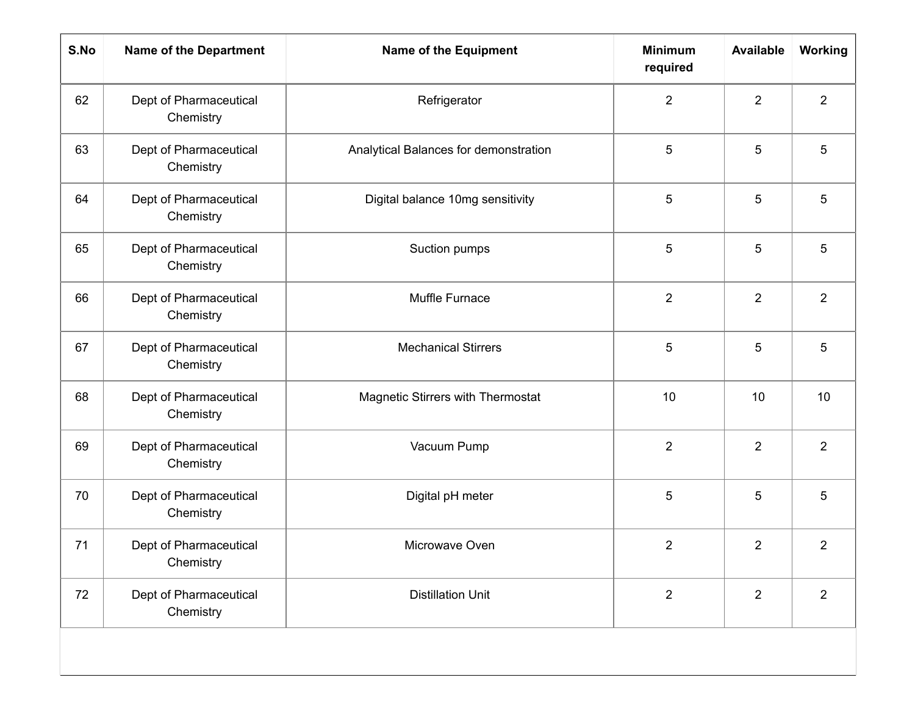| S.No | <b>Name of the Department</b>       | <b>Name of the Equipment</b>          | <b>Minimum</b><br>required | <b>Available</b> | Working         |
|------|-------------------------------------|---------------------------------------|----------------------------|------------------|-----------------|
| 62   | Dept of Pharmaceutical<br>Chemistry | Refrigerator                          | $\overline{2}$             | $\overline{2}$   | $\overline{2}$  |
| 63   | Dept of Pharmaceutical<br>Chemistry | Analytical Balances for demonstration | 5                          | 5                | 5               |
| 64   | Dept of Pharmaceutical<br>Chemistry | Digital balance 10mg sensitivity      | 5                          | 5                | 5               |
| 65   | Dept of Pharmaceutical<br>Chemistry | Suction pumps                         | 5                          | 5                | 5               |
| 66   | Dept of Pharmaceutical<br>Chemistry | Muffle Furnace                        | $\overline{2}$             | $\overline{2}$   | $\overline{2}$  |
| 67   | Dept of Pharmaceutical<br>Chemistry | <b>Mechanical Stirrers</b>            | 5                          | 5                | 5               |
| 68   | Dept of Pharmaceutical<br>Chemistry | Magnetic Stirrers with Thermostat     | 10                         | 10               | 10 <sup>°</sup> |
| 69   | Dept of Pharmaceutical<br>Chemistry | Vacuum Pump                           | $\overline{2}$             | $\overline{2}$   | $\overline{2}$  |
| 70   | Dept of Pharmaceutical<br>Chemistry | Digital pH meter                      | 5                          | 5                | 5               |
| 71   | Dept of Pharmaceutical<br>Chemistry | Microwave Oven                        | 2                          | $\overline{2}$   | 2               |
| 72   | Dept of Pharmaceutical<br>Chemistry | <b>Distillation Unit</b>              | $\overline{2}$             | $\overline{2}$   | $\overline{2}$  |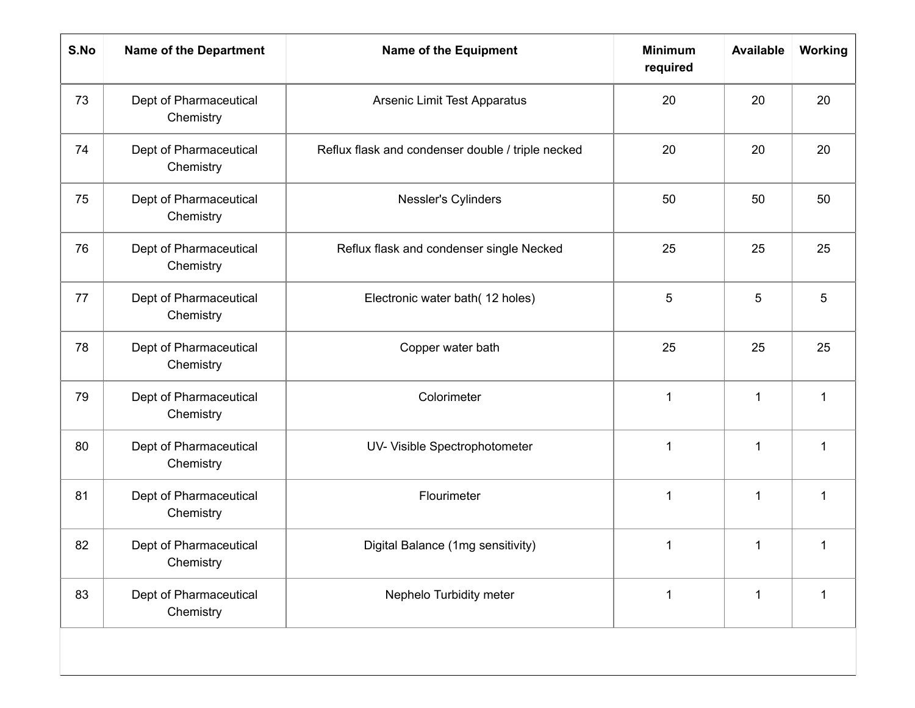| S.No | <b>Name of the Department</b>       | <b>Name of the Equipment</b>                      | <b>Minimum</b><br>required | <b>Available</b> | Working      |
|------|-------------------------------------|---------------------------------------------------|----------------------------|------------------|--------------|
| 73   | Dept of Pharmaceutical<br>Chemistry | Arsenic Limit Test Apparatus                      | 20                         | 20               | 20           |
| 74   | Dept of Pharmaceutical<br>Chemistry | Reflux flask and condenser double / triple necked | 20                         | 20               | 20           |
| 75   | Dept of Pharmaceutical<br>Chemistry | Nessler's Cylinders                               | 50                         | 50               | 50           |
| 76   | Dept of Pharmaceutical<br>Chemistry | Reflux flask and condenser single Necked          | 25                         | 25               | 25           |
| 77   | Dept of Pharmaceutical<br>Chemistry | Electronic water bath(12 holes)                   | 5                          | 5                | 5            |
| 78   | Dept of Pharmaceutical<br>Chemistry | Copper water bath                                 | 25                         | 25               | 25           |
| 79   | Dept of Pharmaceutical<br>Chemistry | Colorimeter                                       | 1                          | $\mathbf{1}$     | 1            |
| 80   | Dept of Pharmaceutical<br>Chemistry | UV- Visible Spectrophotometer                     | 1                          | $\mathbf{1}$     | $\mathbf{1}$ |
| 81   | Dept of Pharmaceutical<br>Chemistry | Flourimeter                                       | 1                          | $\mathbf{1}$     | $\mathbf 1$  |
| 82   | Dept of Pharmaceutical<br>Chemistry | Digital Balance (1mg sensitivity)                 | 1                          | $\mathbf{1}$     | $\mathbf 1$  |
| 83   | Dept of Pharmaceutical<br>Chemistry | Nephelo Turbidity meter                           | $\mathbf{1}$               | $\mathbf{1}$     | $\mathbf 1$  |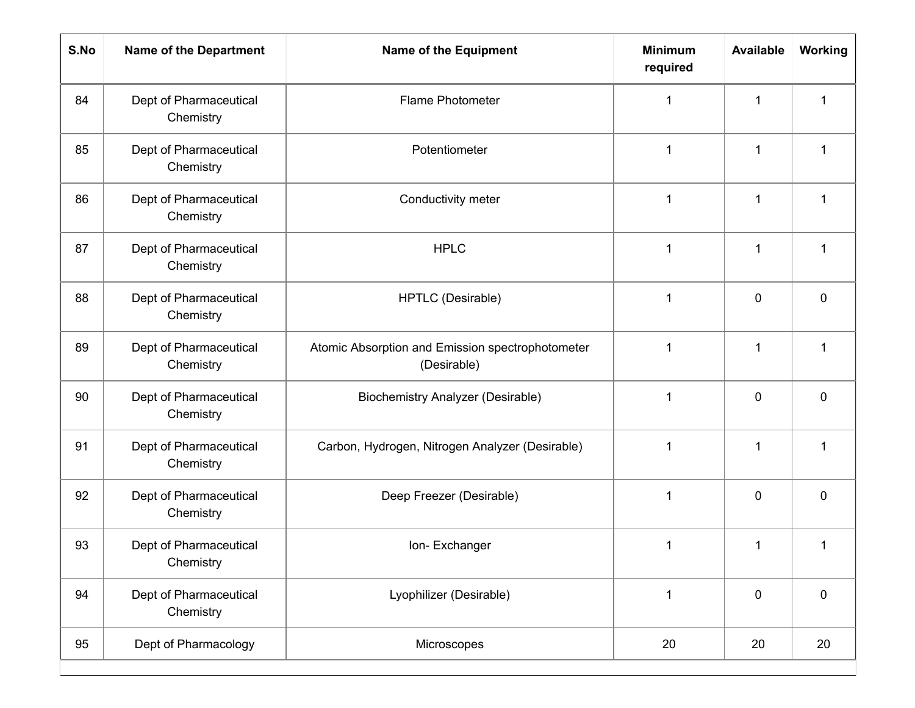| S.No | <b>Name of the Department</b>       | <b>Name of the Equipment</b>                                    | <b>Minimum</b><br>required | <b>Available</b> | Working      |
|------|-------------------------------------|-----------------------------------------------------------------|----------------------------|------------------|--------------|
| 84   | Dept of Pharmaceutical<br>Chemistry | Flame Photometer                                                | 1                          | 1                | 1            |
| 85   | Dept of Pharmaceutical<br>Chemistry | Potentiometer                                                   | 1                          | 1                | $\mathbf{1}$ |
| 86   | Dept of Pharmaceutical<br>Chemistry | Conductivity meter                                              | 1                          | 1                | 1            |
| 87   | Dept of Pharmaceutical<br>Chemistry | <b>HPLC</b>                                                     | 1                          | 1                | $\mathbf 1$  |
| 88   | Dept of Pharmaceutical<br>Chemistry | HPTLC (Desirable)                                               | 1                          | $\mathbf 0$      | 0            |
| 89   | Dept of Pharmaceutical<br>Chemistry | Atomic Absorption and Emission spectrophotometer<br>(Desirable) | 1                          | 1                | 1            |
| 90   | Dept of Pharmaceutical<br>Chemistry | <b>Biochemistry Analyzer (Desirable)</b>                        | 1                          | $\mathbf 0$      | 0            |
| 91   | Dept of Pharmaceutical<br>Chemistry | Carbon, Hydrogen, Nitrogen Analyzer (Desirable)                 | 1                          | 1                | 1            |
| 92   | Dept of Pharmaceutical<br>Chemistry | Deep Freezer (Desirable)                                        | 1                          | $\mathbf 0$      | 0            |
| 93   | Dept of Pharmaceutical<br>Chemistry | Ion-Exchanger                                                   | 1                          | 1                | 1            |
| 94   | Dept of Pharmaceutical<br>Chemistry | Lyophilizer (Desirable)                                         | $\mathbf{1}$               | 0                | 0            |
| 95   | Dept of Pharmacology                | Microscopes                                                     | 20                         | 20               | 20           |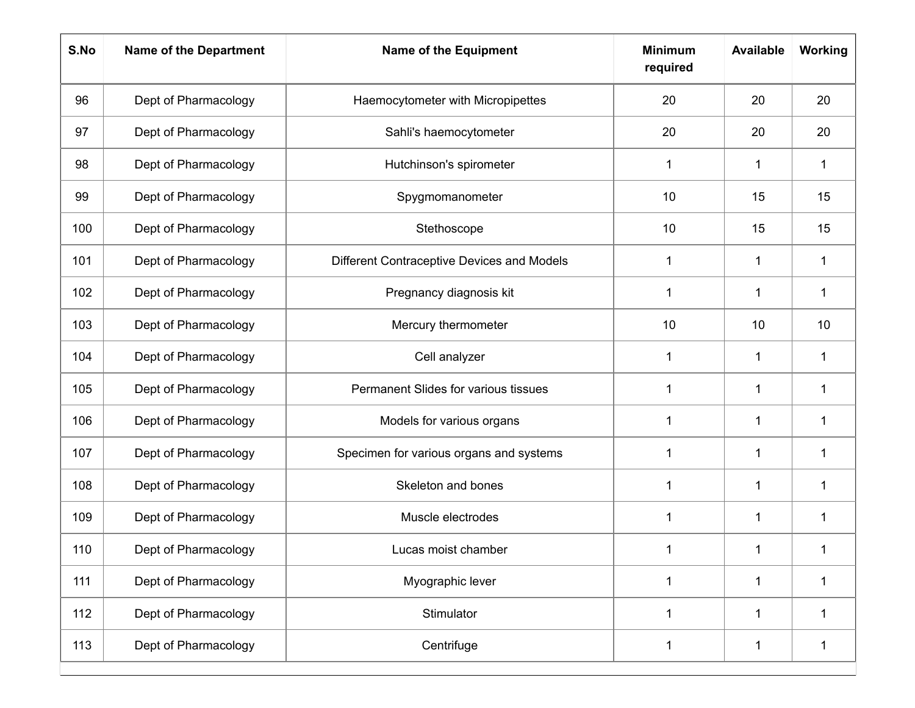| S.No | <b>Name of the Department</b> | <b>Name of the Equipment</b>               | <b>Minimum</b><br>required | <b>Available</b> | Working      |
|------|-------------------------------|--------------------------------------------|----------------------------|------------------|--------------|
| 96   | Dept of Pharmacology          | Haemocytometer with Micropipettes          | 20                         | 20               | 20           |
| 97   | Dept of Pharmacology          | Sahli's haemocytometer                     | 20                         | 20               | 20           |
| 98   | Dept of Pharmacology          | Hutchinson's spirometer                    | 1                          | $\mathbf{1}$     | 1            |
| 99   | Dept of Pharmacology          | Spygmomanometer                            | 10                         | 15               | 15           |
| 100  | Dept of Pharmacology          | Stethoscope                                | 10                         | 15               | 15           |
| 101  | Dept of Pharmacology          | Different Contraceptive Devices and Models | 1                          | 1                | $\mathbf 1$  |
| 102  | Dept of Pharmacology          | Pregnancy diagnosis kit                    | 1                          | $\mathbf{1}$     | 1            |
| 103  | Dept of Pharmacology          | Mercury thermometer                        | 10                         | 10               | 10           |
| 104  | Dept of Pharmacology          | Cell analyzer                              | 1                          | $\mathbf{1}$     | 1            |
| 105  | Dept of Pharmacology          | Permanent Slides for various tissues       | 1                          | 1                | 1            |
| 106  | Dept of Pharmacology          | Models for various organs                  | 1                          | 1                | 1            |
| 107  | Dept of Pharmacology          | Specimen for various organs and systems    | 1                          | 1                | 1            |
| 108  | Dept of Pharmacology          | Skeleton and bones                         | 1                          | 1                | 1            |
| 109  | Dept of Pharmacology          | Muscle electrodes                          | 1                          | $\mathbf 1$      | 1            |
| 110  | Dept of Pharmacology          | Lucas moist chamber                        |                            |                  |              |
| 111  | Dept of Pharmacology          | Myographic lever                           | $\mathbf{1}$               | $\mathbf 1$      | $\mathbf{1}$ |
| 112  | Dept of Pharmacology          | Stimulator                                 | $\mathbf{1}$               | $\mathbf 1$      | 1            |
| 113  | Dept of Pharmacology          | Centrifuge                                 | $\mathbf 1$                | $\mathbf 1$      | $\mathbf{1}$ |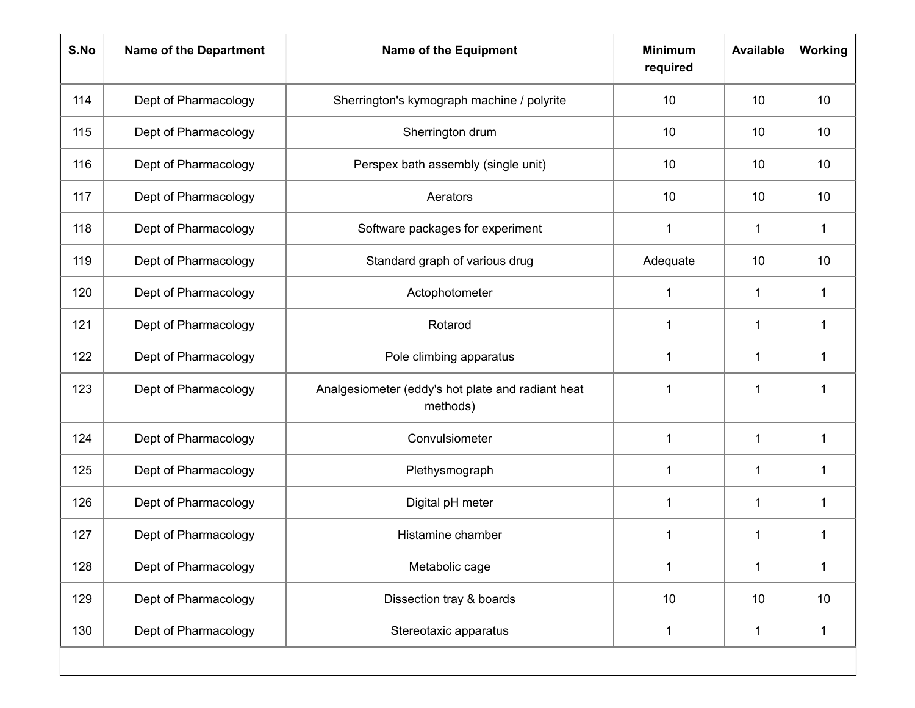| S.No | <b>Name of the Department</b> | <b>Name of the Equipment</b>                                  | <b>Minimum</b><br>required | <b>Available</b> | Working      |
|------|-------------------------------|---------------------------------------------------------------|----------------------------|------------------|--------------|
| 114  | Dept of Pharmacology          | Sherrington's kymograph machine / polyrite                    | 10                         | 10               | 10           |
| 115  | Dept of Pharmacology          | Sherrington drum                                              | 10                         | 10               | 10           |
| 116  | Dept of Pharmacology          | Perspex bath assembly (single unit)                           | 10                         | 10               | 10           |
| 117  | Dept of Pharmacology          | Aerators                                                      | 10                         | 10               | 10           |
| 118  | Dept of Pharmacology          | Software packages for experiment                              | 1                          | $\mathbf 1$      | $\mathbf{1}$ |
| 119  | Dept of Pharmacology          | Standard graph of various drug                                | Adequate                   | 10               | 10           |
| 120  | Dept of Pharmacology          | Actophotometer                                                | 1                          | $\mathbf{1}$     | 1            |
| 121  | Dept of Pharmacology          | Rotarod                                                       | 1                          | $\mathbf{1}$     | 1            |
| 122  | Dept of Pharmacology          | Pole climbing apparatus                                       | 1                          | $\mathbf{1}$     | 1            |
| 123  | Dept of Pharmacology          | Analgesiometer (eddy's hot plate and radiant heat<br>methods) | 1                          | 1                | 1            |
| 124  | Dept of Pharmacology          | Convulsiometer                                                | 1                          | $\mathbf{1}$     | 1            |
| 125  | Dept of Pharmacology          | Plethysmograph                                                | 1                          | 1                | 1            |
| 126  | Dept of Pharmacology          | Digital pH meter                                              | 1                          | $\mathbf{1}$     | 1            |
| 127  | Dept of Pharmacology          | Histamine chamber                                             | 1                          | 1                | 1            |
| 128  | Dept of Pharmacology          | Metabolic cage                                                | 1                          | $\mathbf 1$      | $\mathbf{1}$ |
| 129  | Dept of Pharmacology          | Dissection tray & boards                                      | 10                         | 10               | 10           |
| 130  | Dept of Pharmacology          | Stereotaxic apparatus                                         | $\mathbf{1}$               | $\mathbf 1$      | $\mathbf{1}$ |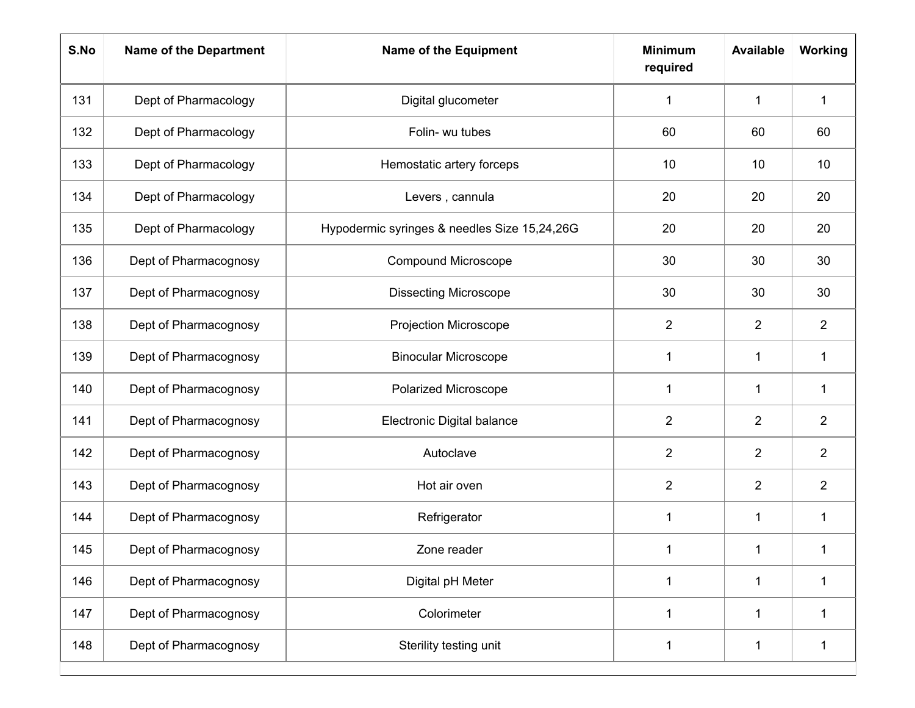| S.No | <b>Name of the Department</b> | <b>Name of the Equipment</b>                 | <b>Minimum</b><br>required | <b>Available</b> | <b>Working</b> |
|------|-------------------------------|----------------------------------------------|----------------------------|------------------|----------------|
| 131  | Dept of Pharmacology          | Digital glucometer                           | 1                          | $\mathbf{1}$     | $\mathbf{1}$   |
| 132  | Dept of Pharmacology          | Folin- wu tubes                              | 60                         | 60               | 60             |
| 133  | Dept of Pharmacology          | Hemostatic artery forceps                    | 10                         | 10               | 10             |
| 134  | Dept of Pharmacology          | Levers, cannula                              | 20                         | 20               | 20             |
| 135  | Dept of Pharmacology          | Hypodermic syringes & needles Size 15,24,26G | 20                         | 20               | 20             |
| 136  | Dept of Pharmacognosy         | <b>Compound Microscope</b>                   | 30                         | 30               | 30             |
| 137  | Dept of Pharmacognosy         | <b>Dissecting Microscope</b>                 | 30                         | 30               | 30             |
| 138  | Dept of Pharmacognosy         | Projection Microscope                        | $\overline{2}$             | $\overline{2}$   | $\overline{2}$ |
| 139  | Dept of Pharmacognosy         | <b>Binocular Microscope</b>                  | 1                          | $\mathbf{1}$     | $\mathbf{1}$   |
| 140  | Dept of Pharmacognosy         | Polarized Microscope                         | 1                          | 1                | $\mathbf{1}$   |
| 141  | Dept of Pharmacognosy         | Electronic Digital balance                   | $\overline{2}$             | $\overline{2}$   | $\overline{2}$ |
| 142  | Dept of Pharmacognosy         | Autoclave                                    | $\overline{2}$             | $\overline{2}$   | $\overline{2}$ |
| 143  | Dept of Pharmacognosy         | Hot air oven                                 | $\overline{2}$             | $\overline{2}$   | $\overline{2}$ |
| 144  | Dept of Pharmacognosy         | Refrigerator                                 | 1                          | $\mathbf 1$      | $\mathbf 1$    |
| 145  | Dept of Pharmacognosy         | Zone reader                                  | 1                          | 1                |                |
| 146  | Dept of Pharmacognosy         | Digital pH Meter                             | $\mathbf{1}$               | $\mathbf 1$      | 1              |
| 147  | Dept of Pharmacognosy         | Colorimeter                                  | 1                          | $\mathbf{1}$     | 1              |
| 148  | Dept of Pharmacognosy         | Sterility testing unit                       | 1                          | $\mathbf{1}$     | $\mathbf 1$    |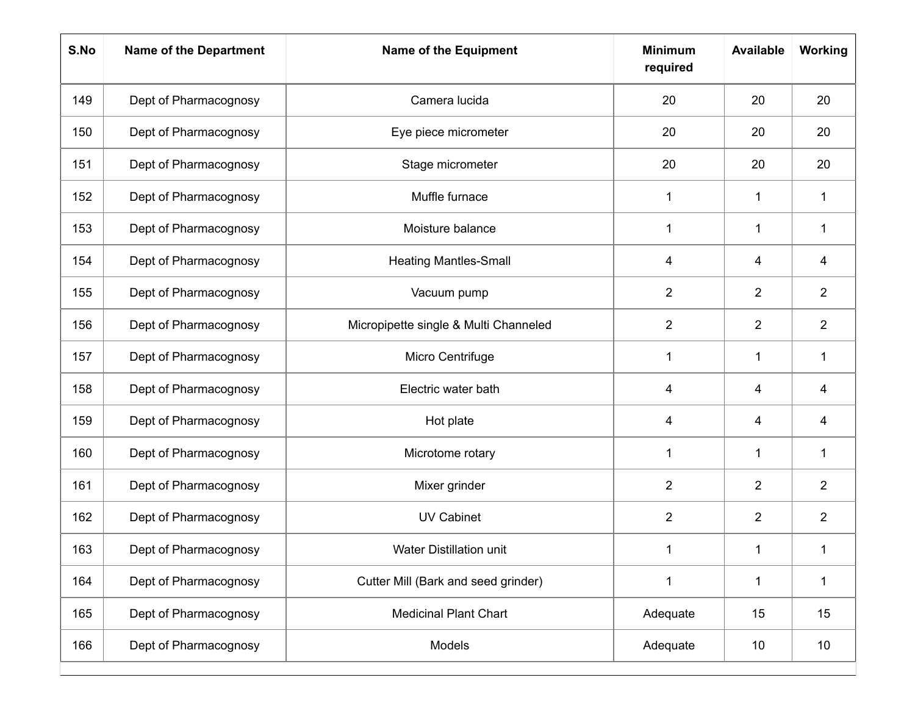| S.No | <b>Name of the Department</b> | <b>Name of the Equipment</b>          | <b>Minimum</b><br>required | <b>Available</b> | Working        |
|------|-------------------------------|---------------------------------------|----------------------------|------------------|----------------|
| 149  | Dept of Pharmacognosy         | Camera lucida                         | 20                         | 20               | 20             |
| 150  | Dept of Pharmacognosy         | Eye piece micrometer                  | 20                         | 20               | 20             |
| 151  | Dept of Pharmacognosy         | Stage micrometer                      | 20                         | 20               | 20             |
| 152  | Dept of Pharmacognosy         | Muffle furnace                        | 1                          | 1                | $\mathbf 1$    |
| 153  | Dept of Pharmacognosy         | Moisture balance                      | 1                          | $\mathbf{1}$     | $\mathbf{1}$   |
| 154  | Dept of Pharmacognosy         | <b>Heating Mantles-Small</b>          | 4                          | 4                | 4              |
| 155  | Dept of Pharmacognosy         | Vacuum pump                           | $\overline{2}$             | $\overline{2}$   | $\overline{2}$ |
| 156  | Dept of Pharmacognosy         | Micropipette single & Multi Channeled | $\overline{2}$             | $\overline{2}$   | $\overline{2}$ |
| 157  | Dept of Pharmacognosy         | Micro Centrifuge                      | 1                          | $\mathbf{1}$     | 1              |
| 158  | Dept of Pharmacognosy         | Electric water bath                   | 4                          | 4                | 4              |
| 159  | Dept of Pharmacognosy         | Hot plate                             | 4                          | 4                | 4              |
| 160  | Dept of Pharmacognosy         | Microtome rotary                      | 1                          | 1                | 1              |
| 161  | Dept of Pharmacognosy         | Mixer grinder                         | $\overline{2}$             | $\overline{2}$   | $\overline{2}$ |
| 162  | Dept of Pharmacognosy         | <b>UV Cabinet</b>                     | $\overline{2}$             | $\overline{2}$   | $\overline{2}$ |
| 163  | Dept of Pharmacognosy         | Water Distillation unit               | 1                          | 1                | 1              |
| 164  | Dept of Pharmacognosy         | Cutter Mill (Bark and seed grinder)   | $\mathbf{1}$               | $\mathbf 1$      | $\mathbf{1}$   |
| 165  | Dept of Pharmacognosy         | <b>Medicinal Plant Chart</b>          | Adequate                   | 15               | 15             |
| 166  | Dept of Pharmacognosy         | Models                                | Adequate                   | 10               | 10             |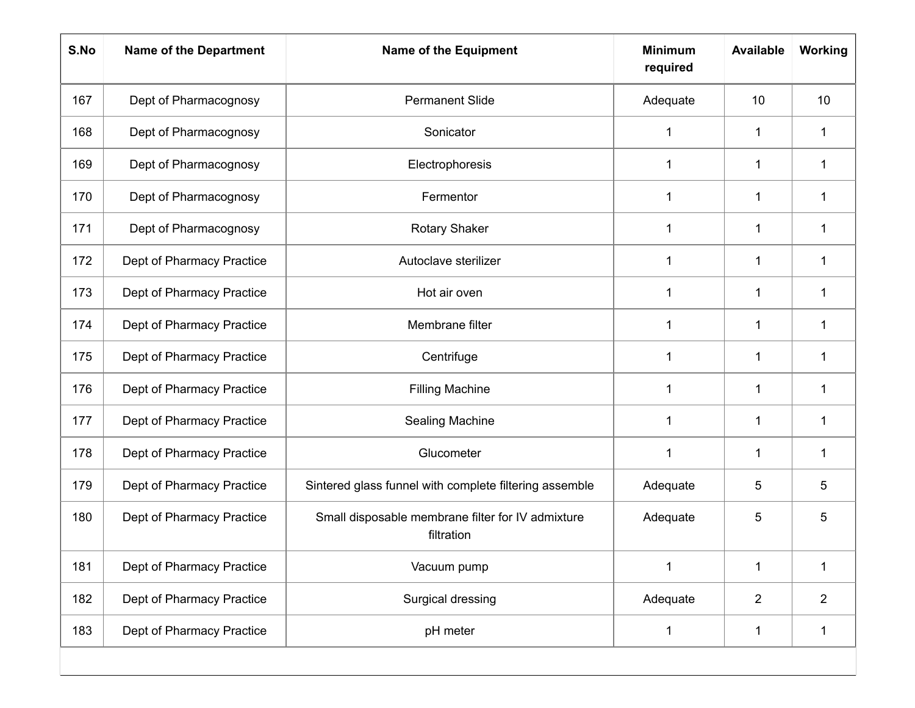| S.No | <b>Name of the Department</b> | <b>Name of the Equipment</b>                                    | <b>Minimum</b><br>required | <b>Available</b> | Working         |
|------|-------------------------------|-----------------------------------------------------------------|----------------------------|------------------|-----------------|
| 167  | Dept of Pharmacognosy         | <b>Permanent Slide</b>                                          | Adequate                   | 10               | 10 <sup>°</sup> |
| 168  | Dept of Pharmacognosy         | Sonicator                                                       | 1                          | 1                | 1               |
| 169  | Dept of Pharmacognosy         | Electrophoresis                                                 | $\mathbf 1$                | 1                | $\mathbf 1$     |
| 170  | Dept of Pharmacognosy         | Fermentor                                                       | 1                          | 1                | 1               |
| 171  | Dept of Pharmacognosy         | <b>Rotary Shaker</b>                                            | 1                          | 1                | $\mathbf 1$     |
| 172  | Dept of Pharmacy Practice     | Autoclave sterilizer                                            | 1                          | 1                | $\mathbf 1$     |
| 173  | Dept of Pharmacy Practice     | Hot air oven                                                    | 1                          | 1                | 1               |
| 174  | Dept of Pharmacy Practice     | Membrane filter                                                 | $\mathbf 1$                | 1                | $\mathbf 1$     |
| 175  | Dept of Pharmacy Practice     | Centrifuge                                                      | 1                          | 1                | $\mathbf 1$     |
| 176  | Dept of Pharmacy Practice     | <b>Filling Machine</b>                                          | 1                          | 1                | 1               |
| 177  | Dept of Pharmacy Practice     | <b>Sealing Machine</b>                                          | $\mathbf 1$                | 1                | $\mathbf 1$     |
| 178  | Dept of Pharmacy Practice     | Glucometer                                                      | $\mathbf 1$                | 1                | 1               |
| 179  | Dept of Pharmacy Practice     | Sintered glass funnel with complete filtering assemble          | Adequate                   | 5                | 5               |
| 180  | Dept of Pharmacy Practice     | Small disposable membrane filter for IV admixture<br>filtration | Adequate                   | 5                | 5               |
| 181  | Dept of Pharmacy Practice     | Vacuum pump                                                     | $\mathbf 1$                | 1                | $\mathbf 1$     |
| 182  | Dept of Pharmacy Practice     | Surgical dressing                                               | Adequate                   | $\overline{2}$   | $\overline{2}$  |
| 183  | Dept of Pharmacy Practice     | pH meter                                                        | 1                          | 1                | $\mathbf 1$     |